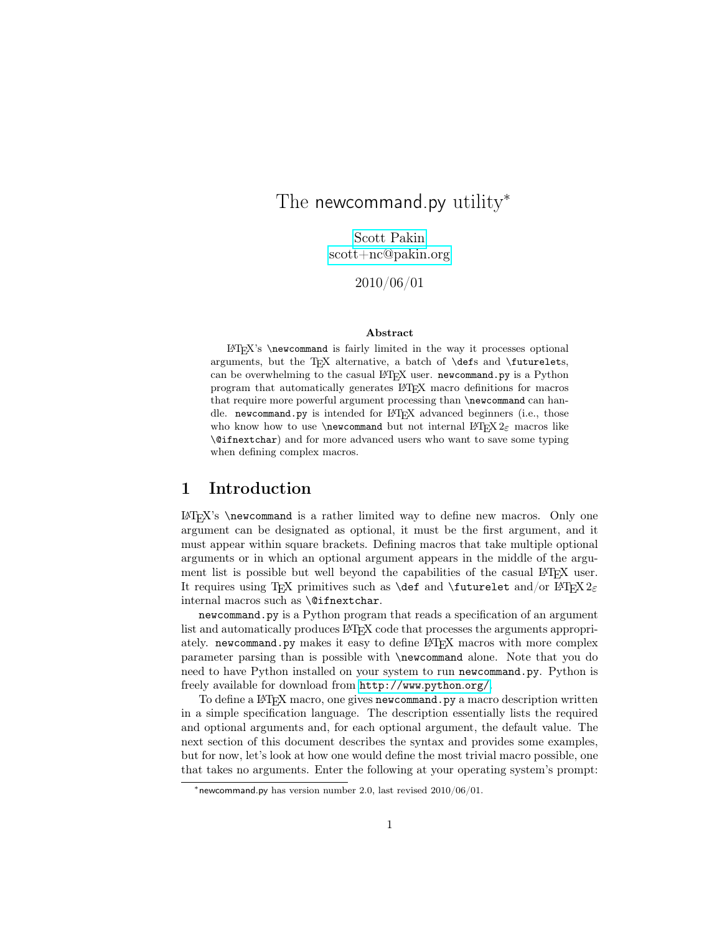# The newcommand.py utility<sup>\*</sup>

Scott [Pakin](mailto:scott+nc@pakin.org) [scott+nc@pakin.org](mailto:scott+nc@pakin.org)

2010/06/01

#### Abstract

 $\LaTeX's \newcommand{\sq}{{\mathfrak g}\over\mathfrak g}$  \newcommand is fairly limited in the way it processes optional arguments, but the TEX alternative, a batch of **\defs** and **\futurelets**, can be overwhelming to the casual LATEX user. newcommand.py is a Python program that automatically generates LATEX macro definitions for macros that require more powerful argument processing than \newcommand can handle. newcommand.py is intended for LAT<sub>EX</sub> advanced beginners (i.e., those who know how to use \newcommand but not internal LATEX  $2\varepsilon$  macros like \@ifnextchar) and for more advanced users who want to save some typing when defining complex macros.

# 1 Introduction

 $EFT<sub>F</sub>X$ 's \newcommand is a rather limited way to define new macros. Only one argument can be designated as optional, it must be the first argument, and it must appear within square brackets. Defining macros that take multiple optional arguments or in which an optional argument appears in the middle of the argument list is possible but well beyond the capabilities of the casual LATEX user. It requires using TEX primitives such as  $\det$  and  $\int$ uturelet and/or LATEX 2<sub>ε</sub> internal macros such as \@ifnextchar.

newcommand.py is a Python program that reads a specification of an argument list and automatically produces LAT<sub>EX</sub> code that processes the arguments appropriately. newcommand.py makes it easy to define LATEX macros with more complex parameter parsing than is possible with \newcommand alone. Note that you do need to have Python installed on your system to run newcommand.py. Python is freely available for download from [http://www](http://www.python.org/).python.org/.

To define a LAT<sub>E</sub>X macro, one gives new command. py a macro description written in a simple specification language. The description essentially lists the required and optional arguments and, for each optional argument, the default value. The next section of this document describes the syntax and provides some examples, but for now, let's look at how one would define the most trivial macro possible, one that takes no arguments. Enter the following at your operating system's prompt:

<sup>\*</sup> newcommand.py has version number 2.0, last revised  $2010/06/01$ .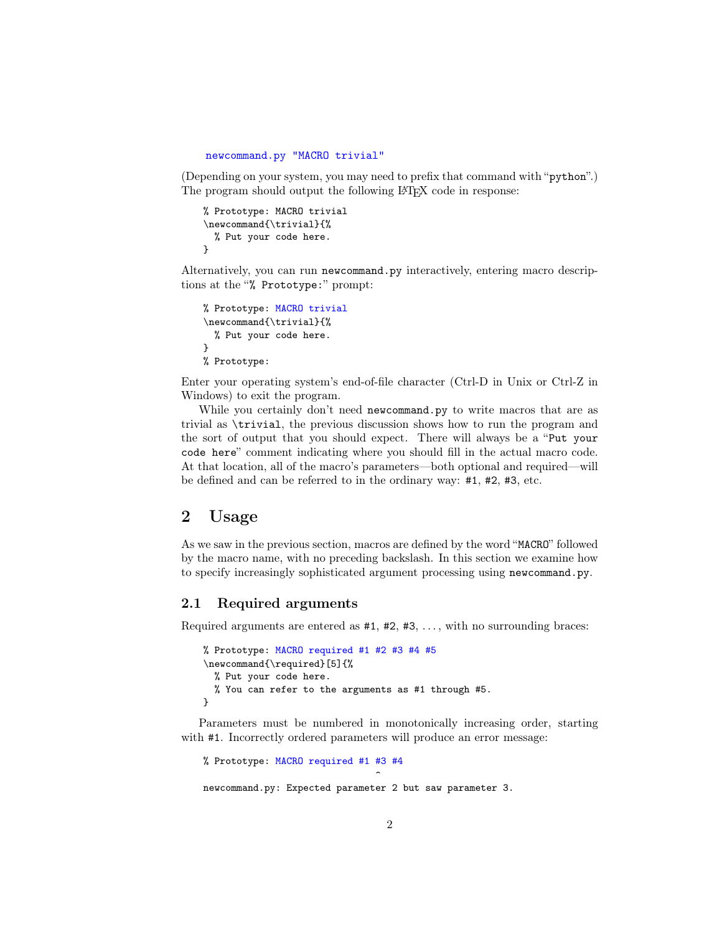```
newcommand.py "MACRO trivial"
```
(Depending on your system, you may need to prefix that command with "python".) The program should output the following LATEX code in response:

```
% Prototype: MACRO trivial
\newcommand{\trivial}{%
  % Put your code here.
}
```
Alternatively, you can run newcommand.py interactively, entering macro descriptions at the "% Prototype:" prompt:

```
% Prototype: MACRO trivial
\newcommand{\trivial}{%
  % Put your code here.
}
% Prototype:
```
Enter your operating system's end-of-file character (Ctrl-D in Unix or Ctrl-Z in Windows) to exit the program.

While you certainly don't need newcommand.py to write macros that are as trivial as \trivial, the previous discussion shows how to run the program and the sort of output that you should expect. There will always be a "Put your code here" comment indicating where you should fill in the actual macro code. At that location, all of the macro's parameters—both optional and required—will be defined and can be referred to in the ordinary way: #1, #2, #3, etc.

# 2 Usage

As we saw in the previous section, macros are defined by the word "MACRO" followed by the macro name, with no preceding backslash. In this section we examine how to specify increasingly sophisticated argument processing using newcommand.py.

## 2.1 Required arguments

Required arguments are entered as  $#1, #2, #3, \ldots$ , with no surrounding braces:

```
% Prototype: MACRO required #1 #2 #3 #4 #5
\newcommand{\required}[5]{%
  % Put your code here.
  % You can refer to the arguments as #1 through #5.
}
```
Parameters must be numbered in monotonically increasing order, starting with  $#1$ . Incorrectly ordered parameters will produce an error message:

```
% Prototype: MACRO required #1 #3 #4
                                 \hat{ }newcommand.py: Expected parameter 2 but saw parameter 3.
```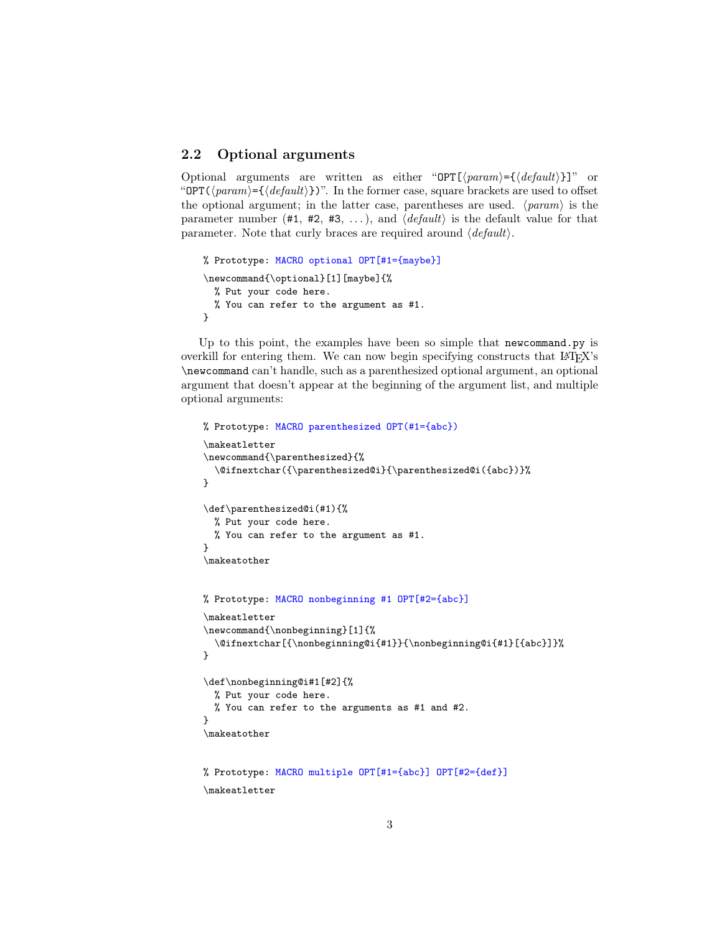# 2.2 Optional arguments

Optional arguments are written as either "OPT[ $\langle param \rangle = \{ \langle default \rangle \}$ ]" or "OPT( $\langle param \rangle = \{ \langle default \rangle \}$ ". In the former case, square brackets are used to offset the optional argument; in the latter case, parentheses are used.  $\langle param \rangle$  is the parameter number (#1, #2, #3, ...), and  $\langle$  default) is the default value for that parameter. Note that curly braces are required around  $\langle$  *default* $\rangle$ .

```
% Prototype: MACRO optional OPT[#1={maybe}]
\newcommand{\optional}[1][maybe]{%
  % Put your code here.
  % You can refer to the argument as #1.
}
```
Up to this point, the examples have been so simple that newcommand.py is overkill for entering them. We can now begin specifying constructs that LATEX's \newcommand can't handle, such as a parenthesized optional argument, an optional argument that doesn't appear at the beginning of the argument list, and multiple optional arguments:

```
% Prototype: MACRO parenthesized OPT(#1={abc})
\makeatletter
\newcommand{\parenthesized}{%
  \@ifnextchar({\parenthesized@i}{\parenthesized@i({abc})}%
}
\def\parenthesized@i(#1){%
  % Put your code here.
  % You can refer to the argument as #1.
}
\makeatother
% Prototype: MACRO nonbeginning #1 OPT[#2={abc}]
\makeatletter
\newcommand{\nonbeginning}[1]{%
  \@ifnextchar[{\nonbeginning@i{#1}}{\nonbeginning@i{#1}[{abc}]}%
}
\def\nonbeginning@i#1[#2]{%
 % Put your code here.
  % You can refer to the arguments as #1 and #2.
}
\makeatother
% Prototype: MACRO multiple OPT[#1={abc}] OPT[#2={def}]
\makeatletter
```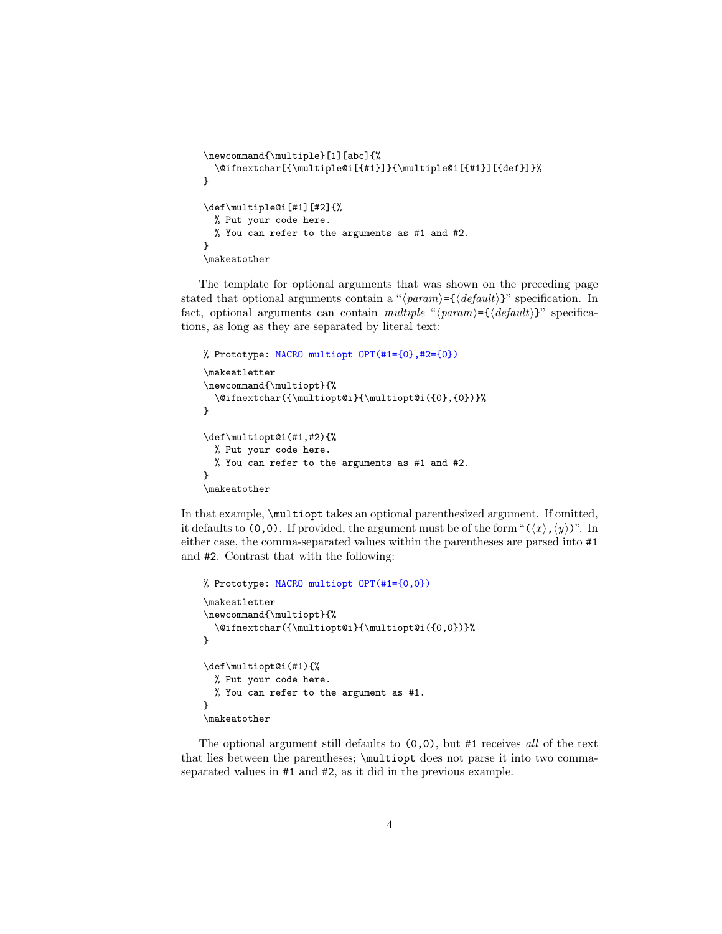```
\newcommand{\multiple}[1][abc]{%
  \@ifnextchar[{\multiple@i[{#1}]}{\multiple@i[{#1}][{def}]}%
}
\def\multiple@i[#1][#2]{%
  % Put your code here.
  % You can refer to the arguments as #1 and #2.
}
\makeatother
```
The template for optional arguments that was shown on the preceding page stated that optional arguments contain a " $\langle param \rangle = {\langle \text{default} \rangle}$ " specification. In fact, optional arguments can contain multiple " $\langle param \rangle = {\langle \langle default \rangle \rangle}$ " specifications, as long as they are separated by literal text:

```
% Prototype: MACRO multiopt OPT(#1={0},#2={0})
\makeatletter
\newcommand{\multiopt}{%
  \@ifnextchar({\multiopt@i}{\multiopt@i({0},{0})}%
}
\def\multiopt@i(#1,#2){%
 % Put your code here.
  % You can refer to the arguments as #1 and #2.
}
\makeatother
```
In that example, \multiopt takes an optional parenthesized argument. If omitted, it defaults to  $(0,0)$ . If provided, the argument must be of the form " $(\langle x \rangle, \langle y \rangle)$ ". In either case, the comma-separated values within the parentheses are parsed into #1 and #2. Contrast that with the following:

```
% Prototype: MACRO multiopt OPT(#1={0,0})
\makeatletter
\newcommand{\multiopt}{%
  \@ifnextchar({\multiopt@i}{\multiopt@i({0,0})}%
}
\def\multiopt@i(#1){%
  % Put your code here.
  % You can refer to the argument as #1.
}
\makeatother
```
The optional argument still defaults to  $(0,0)$ , but #1 receives all of the text that lies between the parentheses; \multiopt does not parse it into two commaseparated values in #1 and #2, as it did in the previous example.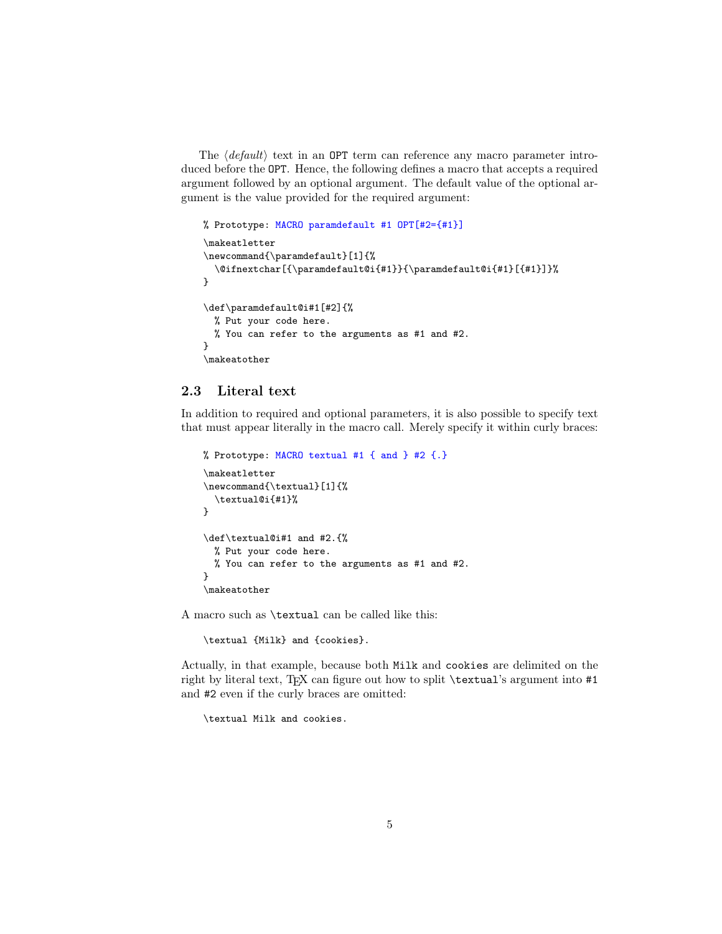The  $\langle$  default $\rangle$  text in an OPT term can reference any macro parameter introduced before the OPT. Hence, the following defines a macro that accepts a required argument followed by an optional argument. The default value of the optional argument is the value provided for the required argument:

```
% Prototype: MACRO paramdefault #1 OPT[#2={#1}]
\makeatletter
\newcommand{\paramdefault}[1]{%
  \@ifnextchar[{\paramdefault@i{#1}}{\paramdefault@i{#1}[{#1}]}%
}
\def\paramdefault@i#1[#2]{%
  % Put your code here.
  % You can refer to the arguments as #1 and #2.
}
\makeatother
```
## 2.3 Literal text

In addition to required and optional parameters, it is also possible to specify text that must appear literally in the macro call. Merely specify it within curly braces:

```
% Prototype: MACRO textual #1 { and } #2 {.}
\makeatletter
\newcommand{\textual}[1]{%
  \textual@i{#1}%
}
\def\textual@i#1 and #2.{%
  % Put your code here.
  % You can refer to the arguments as #1 and #2.
}
\makeatother
```
A macro such as \textual can be called like this:

\textual {Milk} and {cookies}.

Actually, in that example, because both Milk and cookies are delimited on the right by literal text, TEX can figure out how to split \textual's argument into #1 and #2 even if the curly braces are omitted:

\textual Milk and cookies.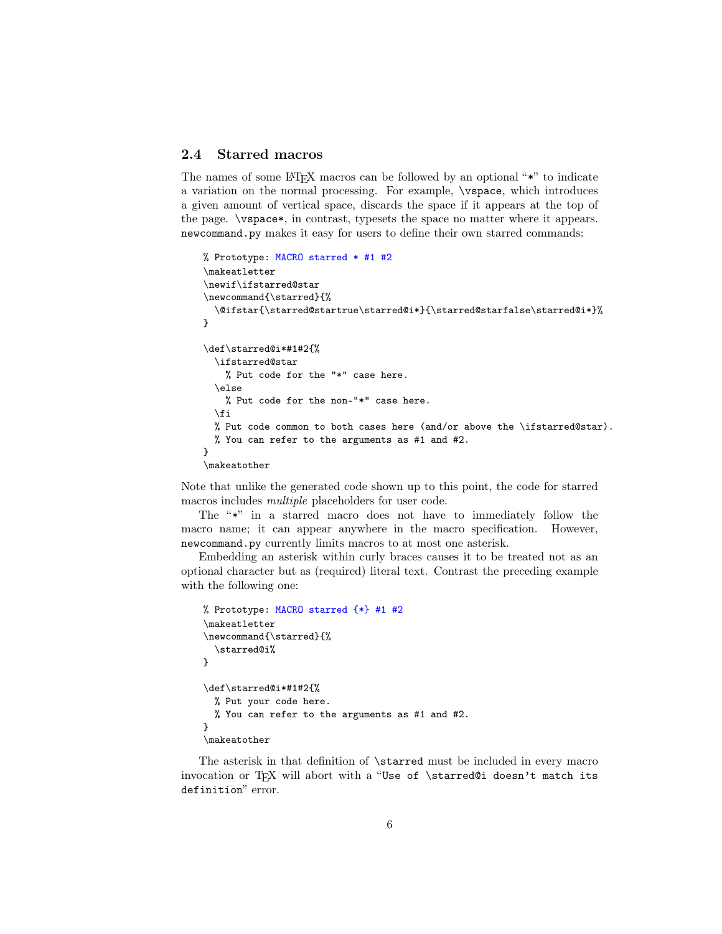# 2.4 Starred macros

The names of some  $\Delta T$ <sub>F</sub>X macros can be followed by an optional "\*" to indicate a variation on the normal processing. For example, \vspace, which introduces a given amount of vertical space, discards the space if it appears at the top of the page. \vspace\*, in contrast, typesets the space no matter where it appears. newcommand.py makes it easy for users to define their own starred commands:

```
% Prototype: MACRO starred * #1 #2
\makeatletter
\newif\ifstarred@star
\newcommand{\starred}{%
  \@ifstar{\starred@startrue\starred@i*}{\starred@starfalse\starred@i*}%
}
\def\starred@i*#1#2{%
  \ifstarred@star
    % Put code for the "*" case here.
  \else
    % Put code for the non-"*" case here.
  \fi
  % Put code common to both cases here (and/or above the \ifstarred@star).
  % You can refer to the arguments as #1 and #2.
\mathbf{r}\makeatother
```
Note that unlike the generated code shown up to this point, the code for starred macros includes multiple placeholders for user code.

The "\*" in a starred macro does not have to immediately follow the macro name; it can appear anywhere in the macro specification. However, newcommand.py currently limits macros to at most one asterisk.

Embedding an asterisk within curly braces causes it to be treated not as an optional character but as (required) literal text. Contrast the preceding example with the following one:

```
% Prototype: MACRO starred {*} #1 #2
\makeatletter
\newcommand{\starred}{%
  \starred@i%
}
\def\starred@i*#1#2{%
  % Put your code here.
  % You can refer to the arguments as #1 and #2.
\mathbf{r}\makeatother
```
The asterisk in that definition of \starred must be included in every macro invocation or T<sub>E</sub>X will abort with a "Use of \starred@i doesn't match its definition" error.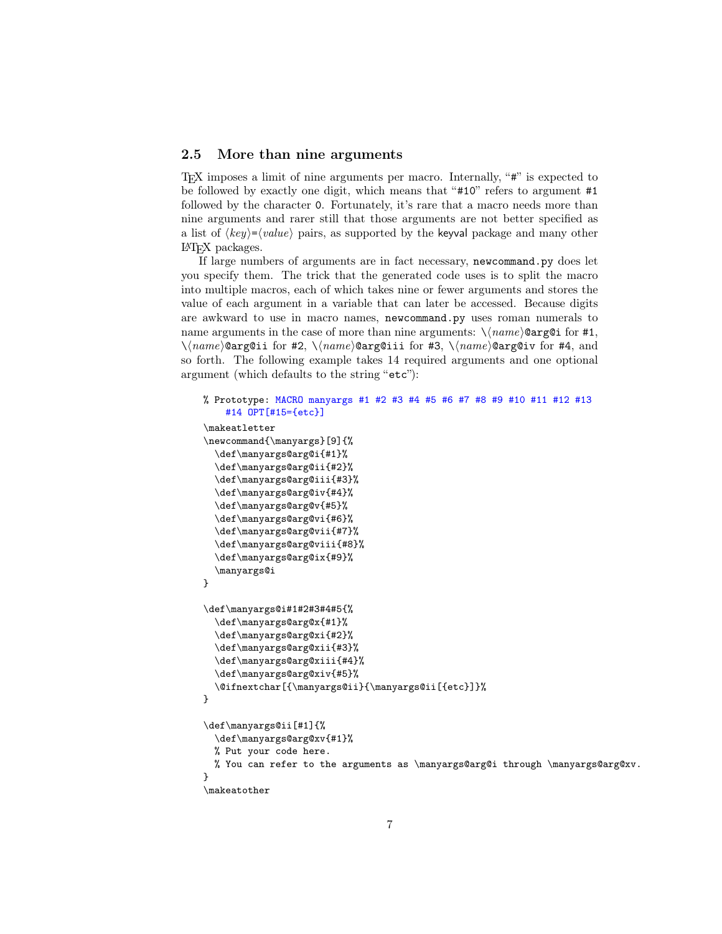## 2.5 More than nine arguments

TEX imposes a limit of nine arguments per macro. Internally, "#" is expected to be followed by exactly one digit, which means that "#10" refers to argument #1 followed by the character 0. Fortunately, it's rare that a macro needs more than nine arguments and rarer still that those arguments are not better specified as a list of  $\langle key \rangle = \langle value \rangle$  pairs, as supported by the keyval package and many other LATEX packages.

If large numbers of arguments are in fact necessary, newcommand.py does let you specify them. The trick that the generated code uses is to split the macro into multiple macros, each of which takes nine or fewer arguments and stores the value of each argument in a variable that can later be accessed. Because digits are awkward to use in macro names, newcommand.py uses roman numerals to name arguments in the case of more than nine arguments:  $\langle \langle name \rangle \text{Qarg}$  for #1,  $\langle$ (name)@arg@ii for #2,  $\langle$ (name)@arg@iii for #3,  $\langle$ (name)@arg@iv for #4, and so forth. The following example takes 14 required arguments and one optional argument (which defaults to the string "etc"):

```
% Prototype: MACRO manyargs #1 #2 #3 #4 #5 #6 #7 #8 #9 #10 #11 #12 #13
    #14 OPT[#15={etc}]
\makeatletter
\newcommand{\manyargs}[9]{%
  \def\manyargs@arg@i{#1}%
  \def\manyargs@arg@ii{#2}%
  \def\manyargs@arg@iii{#3}%
  \def\manyargs@arg@iv{#4}%
  \def\manyargs@arg@v{#5}%
  \def\manyargs@arg@vi{#6}%
  \def\manyargs@arg@vii{#7}%
  \def\manyargs@arg@viii{#8}%
  \def\manyargs@arg@ix{#9}%
  \manyargs@i
}
\def\manyargs@i#1#2#3#4#5{%
  \def\manyargs@arg@x{#1}%
  \def\manyargs@arg@xi{#2}%
  \def\manyargs@arg@xii{#3}%
  \def\manyargs@arg@xiii{#4}%
  \def\manyargs@arg@xiv{#5}%
  \@ifnextchar[{\manyargs@ii}{\manyargs@ii[{etc}]}%
}
\def\manyargs@ii[#1]{%
  \def\manyargs@arg@xv{#1}%
  % Put your code here.
  % You can refer to the arguments as \manyargs@arg@i through \manyargs@arg@xv.
}
\makeatother
```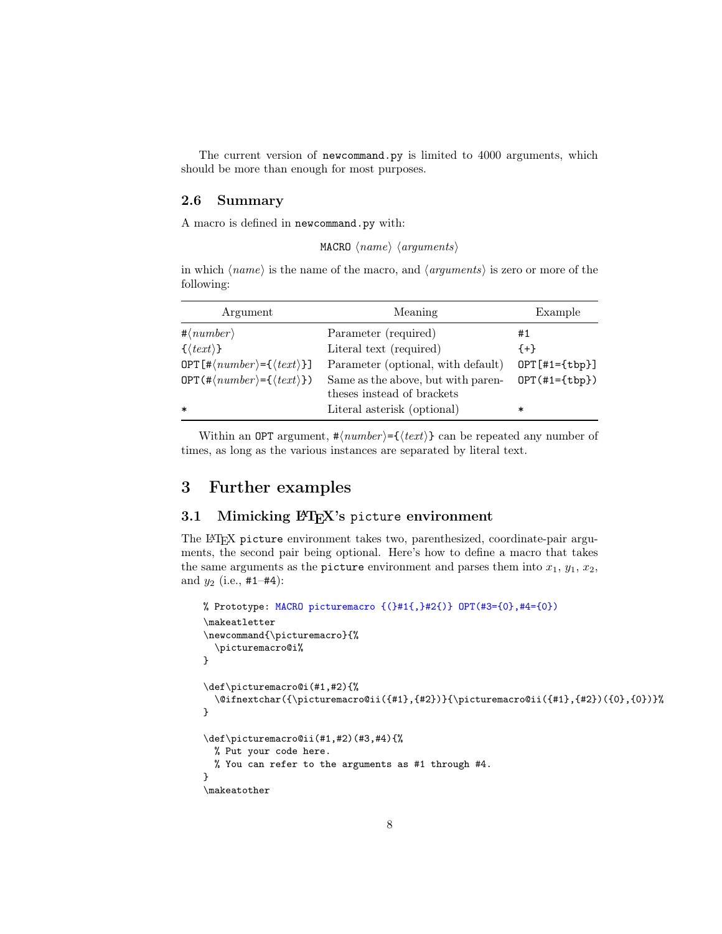The current version of newcommand.py is limited to 4000 arguments, which should be more than enough for most purposes.

### 2.6 Summary

A macro is defined in newcommand.py with:

```
MACRO \langle name \rangle \langle arguments \rangle
```
in which  $\langle name \rangle$  is the name of the macro, and  $\langle arguments \rangle$  is zero or more of the following:

| Argument                                                                   | Meaning                                                          | Example                |
|----------------------------------------------------------------------------|------------------------------------------------------------------|------------------------|
| $\#\langle number \rangle$                                                 | Parameter (required)                                             | #1                     |
| $\{\langle \text{text}\rangle\}$                                           | Literal text (required)                                          | ${+}$                  |
| OPT $[\# \langle number \rangle = {\langle \langle text \rangle \rbrace}]$ | Parameter (optional, with default)                               | $OPT[#1={\text{tbp}}]$ |
| $OPT$ (# $\langle number \rangle = \{\langle text \rangle\}$ )             | Same as the above, but with paren-<br>theses instead of brackets | $OPT(+1 = {tbp} )$     |
| $\ast$                                                                     | Literal asterisk (optional)                                      | *                      |

Within an OPT argument,  $\#(number) = {\text{#}} \geq \text{#}}$  can be repeated any number of times, as long as the various instances are separated by literal text.

# 3 Further examples

### 3.1 Mimicking  $\mu_{\text{F}}$ X's picture environment

The LATEX picture environment takes two, parenthesized, coordinate-pair arguments, the second pair being optional. Here's how to define a macro that takes the same arguments as the picture environment and parses them into  $x_1, y_1, x_2$ , and  $y_2$  (i.e.,  $\#1-\#4$ ):

```
% Prototype: MACRO picturemacro \{(+\pi) + 12\}) OPT(#3=\{0\}, \#4=\{0\})\makeatletter
\newcommand{\picturemacro}{%
  \picturemacro@i%
}
\def\picturemacro@i(#1,#2){%
  \@ifnextchar({\picturemacro@ii({#1},{#2})}{\picturemacro@ii({#1},{#2})({0},{0})}%
}
\def\picturemacro@ii(#1,#2)(#3,#4){%
 % Put your code here.
  % You can refer to the arguments as #1 through #4.
}
\makeatother
```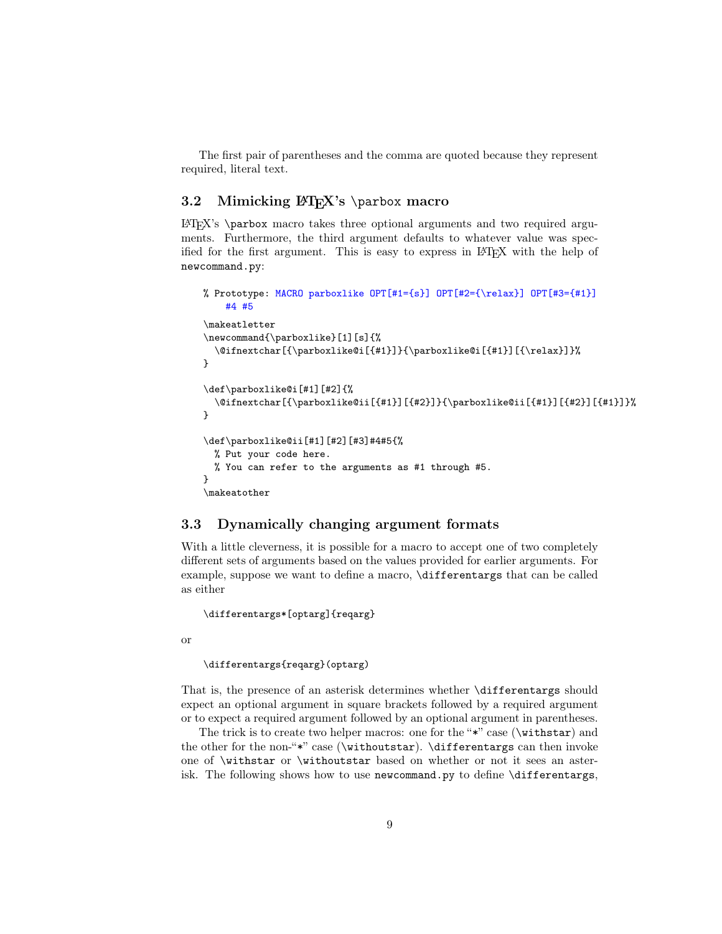The first pair of parentheses and the comma are quoted because they represent required, literal text.

### 3.2 Mimicking  $\langle$ FIFX's \parbox macro

 $\text{H}$ FX's \parbox macro takes three optional arguments and two required arguments. Furthermore, the third argument defaults to whatever value was specified for the first argument. This is easy to express in LATEX with the help of newcommand.py:

```
% Prototype: MACRO parboxlike OPT[#1={s}] OPT[#2={\relax}] OPT[#3={#1}]
      #4 #5
\makeatletter
\newcommand{\parboxlike}[1][s]{%
   \@ifnextchar[{\parboxlike@i[{#1}]}{\parboxlike@i[{#1}][{\relax}]}%
}
\def\parboxlike@i[#1][#2]{%
   \label{thm:main} $$\@ifnextchar{harr}{\parbox{1} } \f{#2} \} {\parbox{1}{} f{#1} \} \f{#2} \f{#1} \f{#2} \f{#1} \f{#2} \g{#2} \f{#1} \g{#2} \g{#2} \g{#2} \g{#2} \g{#2} \g{#2} \g{#2} \g{#2} \g{#2} \g{#2} \g{#2} \g{#2} \g{#2} \g{#2} \g{#2} \g{#2} \g{#2} \g{#2} \g{#2} \g{#2} \g{#2} \g{#2\mathbf{r}\def\parboxlike@ii[#1][#2][#3]#4#5{%
   % Put your code here.
   % You can refer to the arguments as #1 through #5.
}
\makeatother
```
# <span id="page-8-0"></span>3.3 Dynamically changing argument formats

With a little cleverness, it is possible for a macro to accept one of two completely different sets of arguments based on the values provided for earlier arguments. For example, suppose we want to define a macro, \differentargs that can be called as either

\differentargs\*[optarg]{reqarg}

or

\differentargs{reqarg}(optarg)

That is, the presence of an asterisk determines whether \differentargs should expect an optional argument in square brackets followed by a required argument or to expect a required argument followed by an optional argument in parentheses.

The trick is to create two helper macros: one for the "\*" case (\withstar) and the other for the non-"\*" case (\withoutstar). \differentargs can then invoke one of \withstar or \withoutstar based on whether or not it sees an asterisk. The following shows how to use newcommand.py to define \differentargs,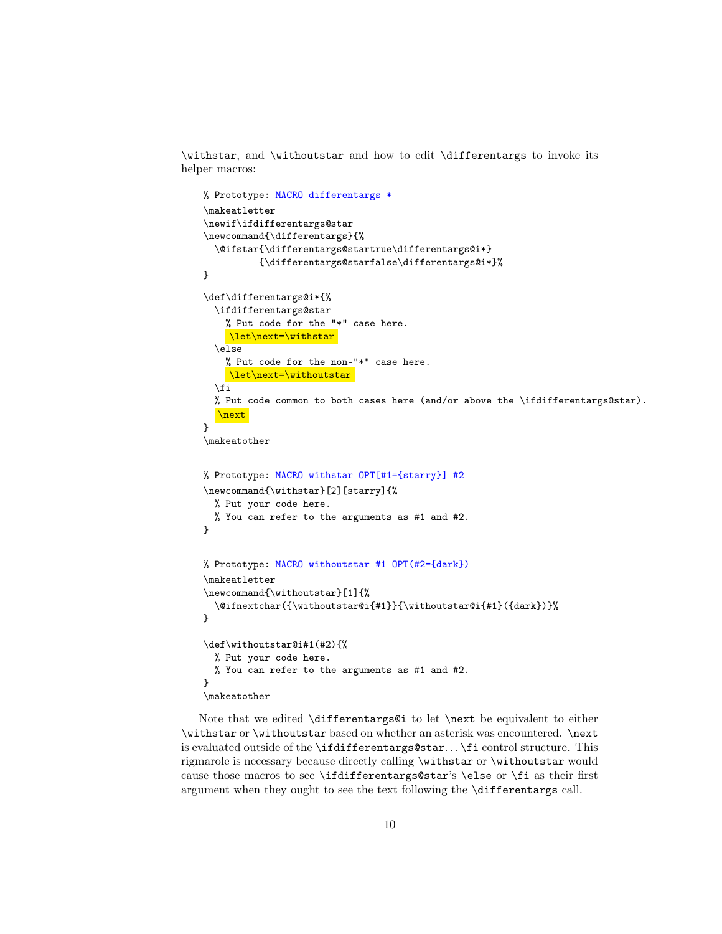\withstar, and \withoutstar and how to edit \differentargs to invoke its helper macros:

```
% Prototype: MACRO differentargs *
\makeatletter
\newif\ifdifferentargs@star
\newcommand{\differentargs}{%
  \@ifstar{\differentargs@startrue\differentargs@i*}
          {\differentargs@starfalse\differentargs@i*}%
}
\def\differentargs@i*{%
  \ifdifferentargs@star
    % Put code for the "*" case here.
     \let\next=\withstar

  \else
    % Put code for the non-"*" case here.
    \let\next=\withoutstar
  \sqrt{fi}% Put code common to both cases here (and/or above the \ifdifferentargs@star).
  \next
}
\makeatother
% Prototype: MACRO withstar OPT[#1={starry}] #2
\newcommand{\withstar}[2][starry]{%
  % Put your code here.
  % You can refer to the arguments as #1 and #2.
}
% Prototype: MACRO withoutstar #1 OPT(#2={dark})
\makeatletter
\newcommand{\withoutstar}[1]{%
  \@ifnextchar({\withoutstar@i{#1}}{\withoutstar@i{#1}({dark})}%
}
\def\withoutstar@i#1(#2){%
  % Put your code here.
  % You can refer to the arguments as #1 and #2.
}
\makeatother
```
Note that we edited \differentargs@i to let \next be equivalent to either \withstar or \withoutstar based on whether an asterisk was encountered. \next is evaluated outside of the \ifdifferentargs@star. . . \fi control structure. This rigmarole is necessary because directly calling \withstar or \withoutstar would cause those macros to see \ifdifferentargs@star's \else or \fi as their first argument when they ought to see the text following the \differentargs call.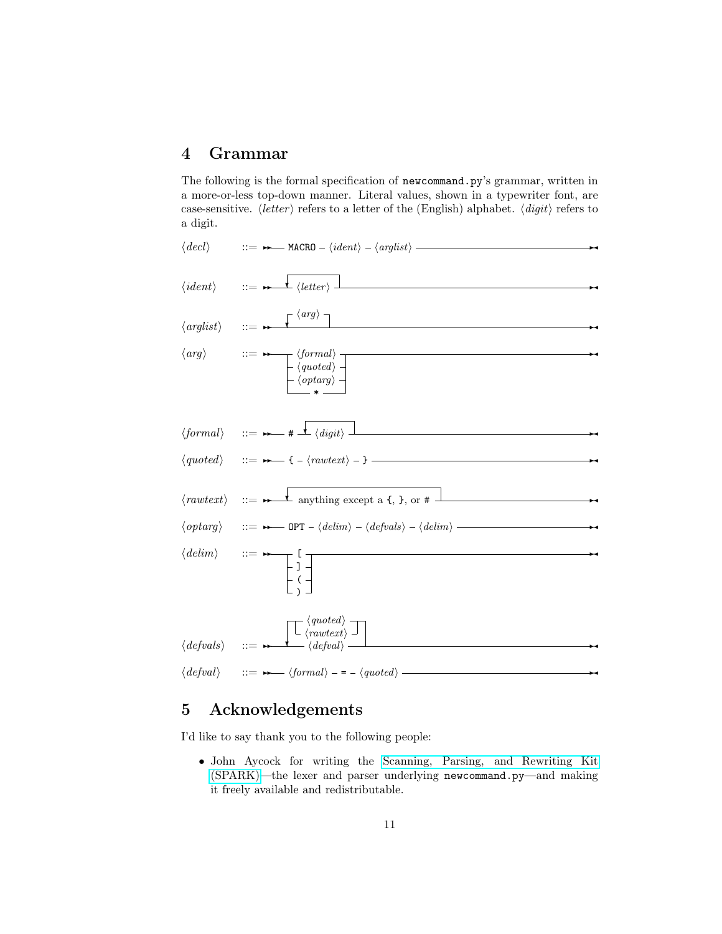# 4 Grammar

The following is the formal specification of newcommand.py's grammar, written in a more-or-less top-down manner. Literal values, shown in a typewriter font, are case-sensitive.  $\langle letter\rangle$  refers to a letter of the (English) alphabet.  $\langle digit\rangle$  refers to a digit.



# 5 Acknowledgements

I'd like to say thank you to the following people:

• John Aycock for writing the [Scanning, Parsing, and Rewriting Kit](http://pages.cpsc.ucalgary.ca/~aycock/spark/)  [\(SPARK\)—](http://pages.cpsc.ucalgary.ca/~aycock/spark/)the lexer and parser underlying newcommand.py—and making it freely available and redistributable.